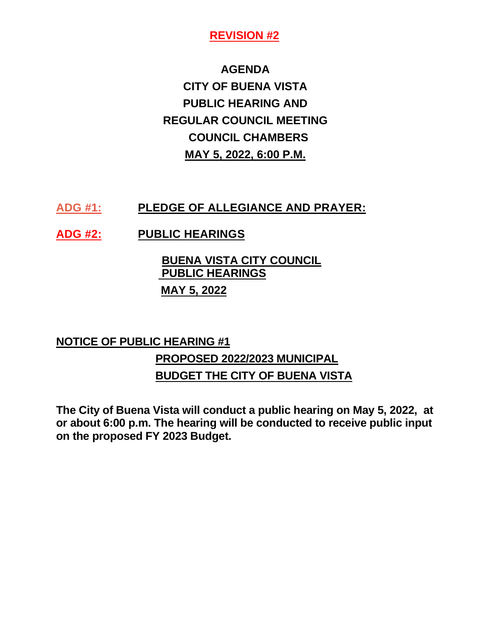**AGENDA CITY OF BUENA VISTA PUBLIC HEARING AND REGULAR COUNCIL MEETING COUNCIL CHAMBERS MAY 5, 2022, 6:00 P.M.**

### **ADG #1: PLEDGE OF ALLEGIANCE AND PRAYER:**

### **ADG #2: PUBLIC HEARINGS**

**BUENA VISTA CITY COUNCIL PUBLIC HEARINGS MAY 5, 2022**

# **NOTICE OF PUBLIC HEARING #1 PROPOSED 2022/2023 MUNICIPAL BUDGET THE CITY OF BUENA VISTA**

**The City of Buena Vista will conduct a public hearing on May 5, 2022, at or about 6:00 p.m. The hearing will be conducted to receive public input on the proposed FY 2023 Budget.**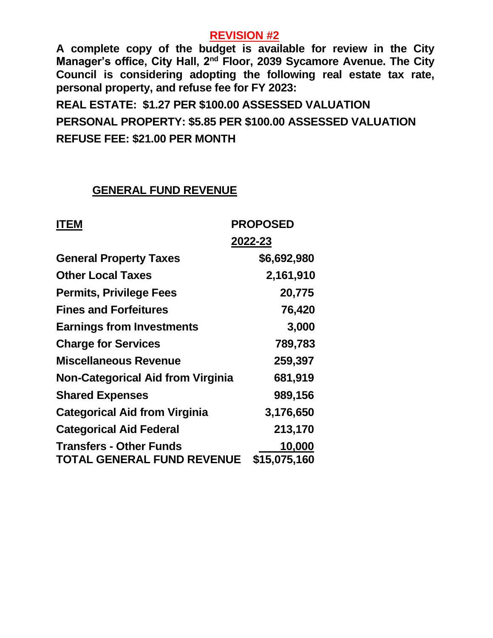**A complete copy of the budget is available for review in the City Manager's office, City Hall, 2nd Floor, 2039 Sycamore Avenue. The City Council is considering adopting the following real estate tax rate, personal property, and refuse fee for FY 2023:**

**REAL ESTATE: \$1.27 PER \$100.00 ASSESSED VALUATION PERSONAL PROPERTY: \$5.85 PER \$100.00 ASSESSED VALUATION REFUSE FEE: \$21.00 PER MONTH**

#### **GENERAL FUND REVENUE**

| <b>ITEM</b>                              | <b>PROPOSED</b> |  |  |
|------------------------------------------|-----------------|--|--|
|                                          | 2022-23         |  |  |
| <b>General Property Taxes</b>            | \$6,692,980     |  |  |
| <b>Other Local Taxes</b>                 | 2,161,910       |  |  |
| <b>Permits, Privilege Fees</b>           | 20,775          |  |  |
| <b>Fines and Forfeitures</b>             | 76,420          |  |  |
| <b>Earnings from Investments</b>         | 3,000           |  |  |
| <b>Charge for Services</b>               | 789,783         |  |  |
| <b>Miscellaneous Revenue</b>             | 259,397         |  |  |
| <b>Non-Categorical Aid from Virginia</b> | 681,919         |  |  |
| <b>Shared Expenses</b>                   | 989,156         |  |  |
| <b>Categorical Aid from Virginia</b>     | 3,176,650       |  |  |
| <b>Categorical Aid Federal</b>           | 213,170         |  |  |
| <b>Transfers - Other Funds</b>           | 10,000          |  |  |
| <b>TOTAL GENERAL FUND REVENUE</b>        | \$15,075,160    |  |  |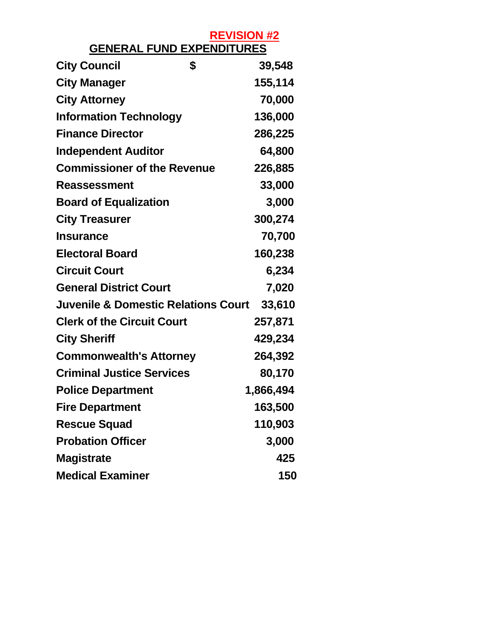### **REVISION #2 GENERAL FUND EXPENDITURES**

| <b>City Council</b>                            | \$<br>39,548 |
|------------------------------------------------|--------------|
| <b>City Manager</b>                            | 155,114      |
| <b>City Attorney</b>                           | 70,000       |
| <b>Information Technology</b>                  | 136,000      |
| <b>Finance Director</b>                        | 286,225      |
| <b>Independent Auditor</b>                     | 64,800       |
| <b>Commissioner of the Revenue</b>             | 226,885      |
| <b>Reassessment</b>                            | 33,000       |
| <b>Board of Equalization</b>                   | 3,000        |
| <b>City Treasurer</b>                          | 300,274      |
| <b>Insurance</b>                               | 70,700       |
| <b>Electoral Board</b>                         | 160,238      |
| <b>Circuit Court</b>                           | 6,234        |
| <b>General District Court</b>                  | 7,020        |
| <b>Juvenile &amp; Domestic Relations Court</b> | 33,610       |
| <b>Clerk of the Circuit Court</b>              | 257,871      |
| <b>City Sheriff</b>                            | 429,234      |
| <b>Commonwealth's Attorney</b>                 | 264,392      |
| <b>Criminal Justice Services</b>               | 80,170       |
| <b>Police Department</b>                       | 1,866,494    |
| <b>Fire Department</b>                         | 163,500      |
| <b>Rescue Squad</b>                            | 110,903      |
| <b>Probation Officer</b>                       | 3,000        |
| <b>Magistrate</b>                              | 425          |
| <b>Medical Examiner</b>                        | 150          |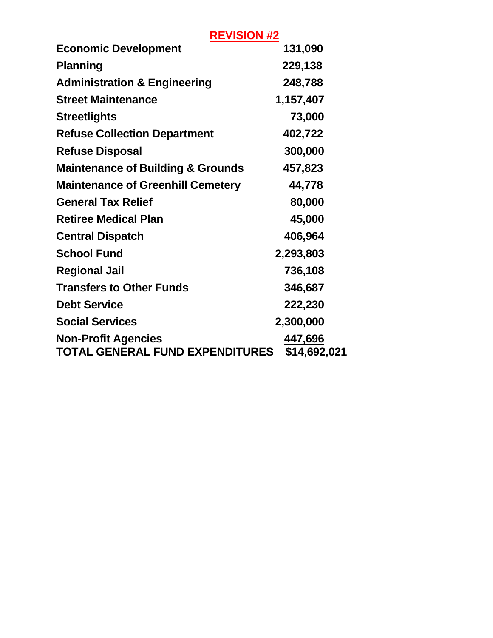| <b>REVISION #2</b>                                                   |                         |  |  |
|----------------------------------------------------------------------|-------------------------|--|--|
| <b>Economic Development</b>                                          | 131,090                 |  |  |
| <b>Planning</b>                                                      | 229,138                 |  |  |
| <b>Administration &amp; Engineering</b>                              | 248,788                 |  |  |
| <b>Street Maintenance</b>                                            | 1,157,407               |  |  |
| <b>Streetlights</b>                                                  | 73,000                  |  |  |
| <b>Refuse Collection Department</b>                                  | 402,722                 |  |  |
| <b>Refuse Disposal</b>                                               | 300,000                 |  |  |
| <b>Maintenance of Building &amp; Grounds</b>                         | 457,823                 |  |  |
| <b>Maintenance of Greenhill Cemetery</b>                             | 44,778                  |  |  |
| <b>General Tax Relief</b>                                            | 80,000                  |  |  |
| <b>Retiree Medical Plan</b>                                          | 45,000                  |  |  |
| <b>Central Dispatch</b>                                              | 406,964                 |  |  |
| <b>School Fund</b>                                                   | 2,293,803               |  |  |
| <b>Regional Jail</b>                                                 | 736,108                 |  |  |
| <b>Transfers to Other Funds</b>                                      | 346,687                 |  |  |
| <b>Debt Service</b>                                                  | 222,230                 |  |  |
| <b>Social Services</b>                                               | 2,300,000               |  |  |
| <b>Non-Profit Agencies</b><br><b>TOTAL GENERAL FUND EXPENDITURES</b> | 447,696<br>\$14,692,021 |  |  |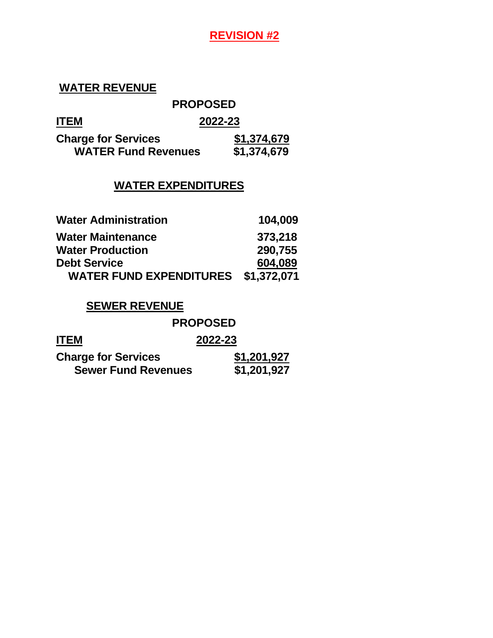### **WATER REVENUE**

### **PROPOSED**

| <b>ITEM</b>                | 2022-23     |  |  |  |
|----------------------------|-------------|--|--|--|
| <b>Charge for Services</b> | \$1,374,679 |  |  |  |
| <b>WATER Fund Revenues</b> | \$1,374,679 |  |  |  |

### **WATER EXPENDITURES**

| <b>Water Administration</b>    | 104,009     |
|--------------------------------|-------------|
| <b>Water Maintenance</b>       | 373,218     |
| <b>Water Production</b>        | 290,755     |
| <b>Debt Service</b>            | 604,089     |
| <b>WATER FUND EXPENDITURES</b> | \$1,372,071 |

## **SEWER REVENUE**

|                            | <b>PROPOSED</b> |
|----------------------------|-----------------|
| <b>ITEM</b>                | 2022-23         |
| <b>Charge for Services</b> | \$1,201,927     |
| <b>Sewer Fund Revenues</b> | \$1,201,927     |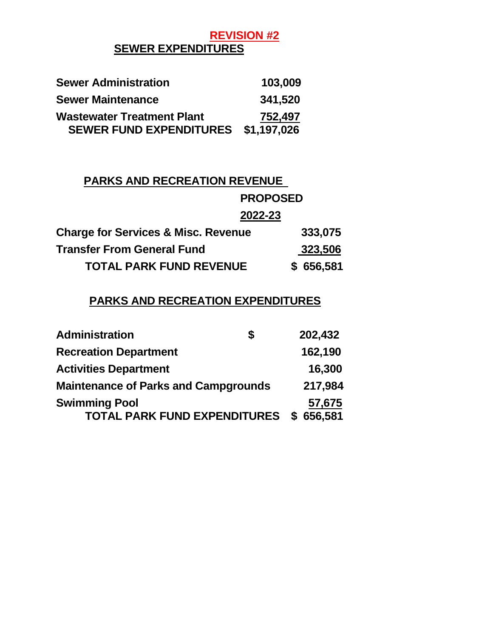### **REVISION #2 SEWER EXPENDITURES**

| <b>Sewer Administration</b>       | 103,009     |
|-----------------------------------|-------------|
| <b>Sewer Maintenance</b>          | 341,520     |
| <b>Wastewater Treatment Plant</b> | 752,497     |
| <b>SEWER FUND EXPENDITURES</b>    | \$1,197,026 |

#### **PARKS AND RECREATION REVENUE**

# **PROPOSED 2022-23 Charge for Services & Misc. Revenue 333,075 Transfer From General Fund 323,506 TOTAL PARK FUND REVENUE \$ 656,581**

### **PARKS AND RECREATION EXPENDITURES**

| <b>Administration</b>                       | S | 202,432   |
|---------------------------------------------|---|-----------|
| <b>Recreation Department</b>                |   | 162,190   |
| <b>Activities Department</b>                |   | 16,300    |
| <b>Maintenance of Parks and Campgrounds</b> |   | 217,984   |
| <b>Swimming Pool</b>                        |   | 57,675    |
| <b>TOTAL PARK FUND EXPENDITURES</b>         |   | \$656,581 |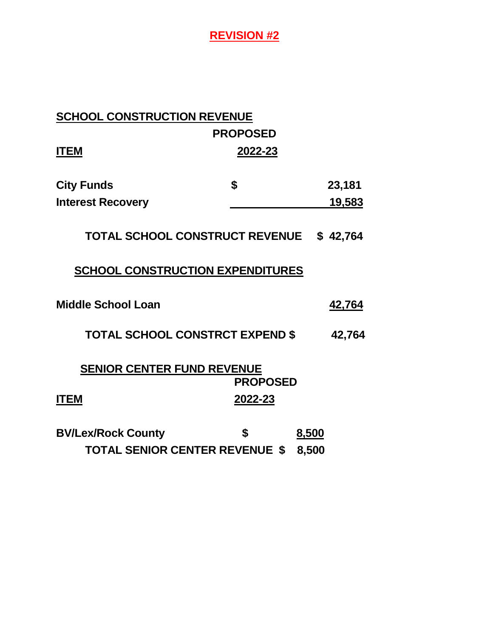| <b>SCHOOL CONSTRUCTION REVENUE</b>      |                 |        |
|-----------------------------------------|-----------------|--------|
|                                         | <b>PROPOSED</b> |        |
| <b>ITEM</b>                             | 2022-23         |        |
|                                         |                 |        |
| <b>City Funds</b>                       | \$              | 23,181 |
| <b>Interest Recovery</b>                |                 | 19,583 |
|                                         |                 |        |
| TOTAL SCHOOL CONSTRUCT REVENUE \$42,764 |                 |        |
|                                         |                 |        |
| <b>SCHOOL CONSTRUCTION EXPENDITURES</b> |                 |        |
|                                         |                 |        |
| <b>Middle School Loan</b>               |                 | 42,764 |
|                                         |                 |        |
| <b>TOTAL SCHOOL CONSTRCT EXPEND \$</b>  |                 | 42,764 |
|                                         |                 |        |
| <b>SENIOR CENTER FUND REVENUE</b>       | <b>PROPOSED</b> |        |
| <b>ITEM</b>                             | 2022-23         |        |
|                                         |                 |        |
| <b>BV/Lex/Rock County</b>               | \$<br>8,500     |        |
| <b>TOTAL SENIOR CENTER REVENUE \$</b>   |                 |        |
|                                         | 8,500           |        |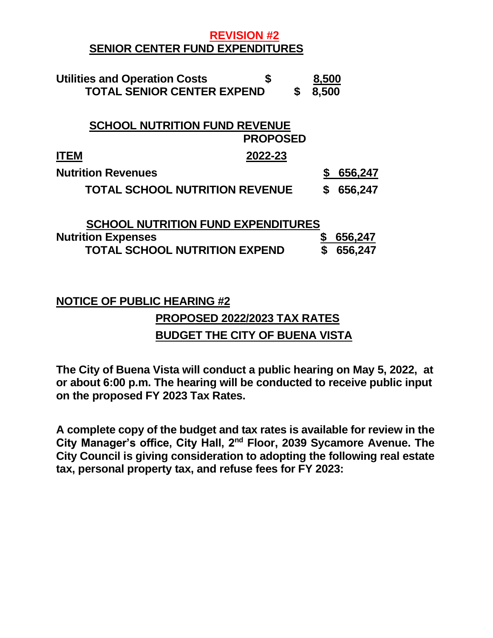### **REVISION #2 SENIOR CENTER FUND EXPENDITURES**

| <b>Utilities and Operation Costs</b>  | S               |   | 8,500 |         |
|---------------------------------------|-----------------|---|-------|---------|
| <b>TOTAL SENIOR CENTER EXPEND</b>     |                 | S | 8,500 |         |
|                                       |                 |   |       |         |
| <b>SCHOOL NUTRITION FUND REVENUE</b>  |                 |   |       |         |
|                                       | <b>PROPOSED</b> |   |       |         |
| <b>ITEM</b>                           | 2022-23         |   |       |         |
| <b>Nutrition Revenues</b>             |                 |   |       | 656,247 |
| <b>TOTAL SCHOOL NUTRITION REVENUE</b> |                 |   |       | 656,247 |
|                                       |                 |   |       |         |

| <b>SCHOOL NUTRITION FUND EXPENDITURES</b> |           |
|-------------------------------------------|-----------|
| <b>Nutrition Expenses</b>                 | \$656,247 |
| <b>TOTAL SCHOOL NUTRITION EXPEND</b>      | \$656,247 |

# **NOTICE OF PUBLIC HEARING #2 PROPOSED 2022/2023 TAX RATES BUDGET THE CITY OF BUENA VISTA**

**The City of Buena Vista will conduct a public hearing on May 5, 2022, at or about 6:00 p.m. The hearing will be conducted to receive public input on the proposed FY 2023 Tax Rates.**

**A complete copy of the budget and tax rates is available for review in the City Manager's office, City Hall, 2nd Floor, 2039 Sycamore Avenue. The City Council is giving consideration to adopting the following real estate tax, personal property tax, and refuse fees for FY 2023:**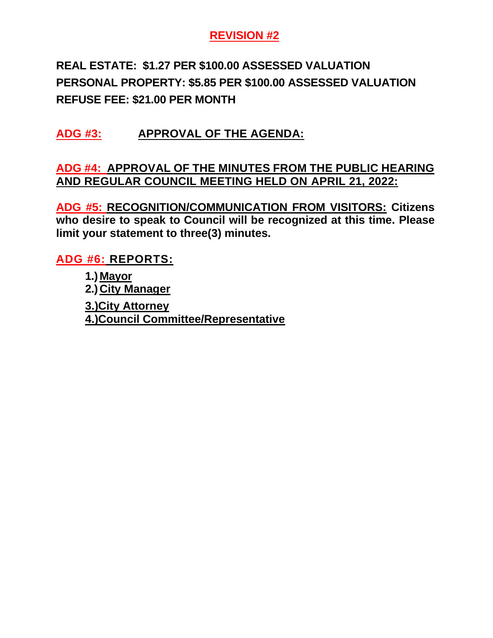**REAL ESTATE: \$1.27 PER \$100.00 ASSESSED VALUATION PERSONAL PROPERTY: \$5.85 PER \$100.00 ASSESSED VALUATION REFUSE FEE: \$21.00 PER MONTH**

### **ADG #3: APPROVAL OF THE AGENDA:**

### **ADG #4: APPROVAL OF THE MINUTES FROM THE PUBLIC HEARING AND REGULAR COUNCIL MEETING HELD ON APRIL 21, 2022:**

**ADG #5: RECOGNITION/COMMUNICATION FROM VISITORS: Citizens who desire to speak to Council will be recognized at this time. Please limit your statement to three(3) minutes.** 

**ADG #6: REPORTS:** 

- **1.) Mayor 2.) City Manager 3.)City Attorney**
- **4.)Council Committee/Representative**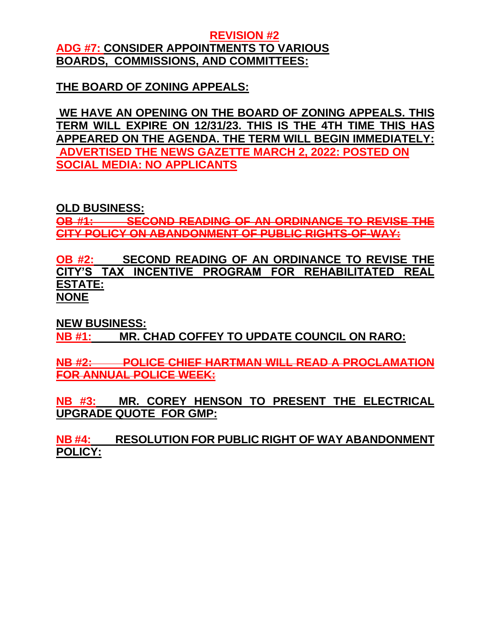**REVISION #2 ADG #7: CONSIDER APPOINTMENTS TO VARIOUS BOARDS, COMMISSIONS, AND COMMITTEES:**

**THE BOARD OF ZONING APPEALS:**

**WE HAVE AN OPENING ON THE BOARD OF ZONING APPEALS. THIS TERM WILL EXPIRE ON 12/31/23. THIS IS THE 4TH TIME THIS HAS APPEARED ON THE AGENDA. THE TERM WILL BEGIN IMMEDIATELY: ADVERTISED THE NEWS GAZETTE MARCH 2, 2022: POSTED ON SOCIAL MEDIA: NO APPLICANTS**

**OLD BUSINESS:**

**OB #1: SECOND READING OF AN ORDINANCE TO REVISE THE CITY POLICY ON ABANDONMENT OF PUBLIC RIGHTS-OF-WAY:**

**OB #2: SECOND READING OF AN ORDINANCE TO REVISE THE CITY'S TAX INCENTIVE PROGRAM FOR REHABILITATED REAL ESTATE: NONE**

**NEW BUSINESS: NB #1: MR. CHAD COFFEY TO UPDATE COUNCIL ON RARO:**

**NB #2: POLICE CHIEF HARTMAN WILL READ A PROCLAMATION FOR ANNUAL POLICE WEEK:**

**NB #3: MR. COREY HENSON TO PRESENT THE ELECTRICAL UPGRADE QUOTE FOR GMP:**

**NB #4: RESOLUTION FOR PUBLIC RIGHT OF WAY ABANDONMENT POLICY:**